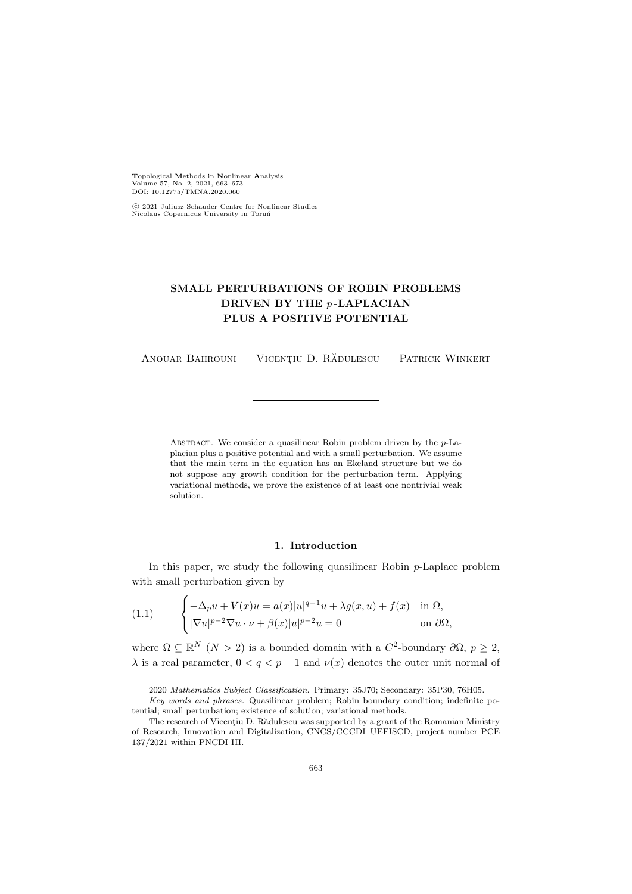Topological Methods in Nonlinear Analysis Volume 57, No. 2, 2021, 663–673 DOI: 10.12775/TMNA.2020.060

 c 2021 Juliusz Schauder Centre for Nonlinear Studies Nicolaus Copernicus University in Toruń

# SMALL PERTURBATIONS OF ROBIN PROBLEMS DRIVEN BY THE p-LAPLACIAN PLUS A POSITIVE POTENTIAL

ANOUAR BAHROUNI — VICENȚIU D. RĂDULESCU — PATRICK WINKERT

ABSTRACT. We consider a quasilinear Robin problem driven by the  $p$ -Laplacian plus a positive potential and with a small perturbation. We assume that the main term in the equation has an Ekeland structure but we do not suppose any growth condition for the perturbation term. Applying variational methods, we prove the existence of at least one nontrivial weak solution.

# 1. Introduction

In this paper, we study the following quasilinear Robin  $p$ -Laplace problem with small perturbation given by

<span id="page-0-0"></span>(1.1) 
$$
\begin{cases} -\Delta_p u + V(x)u = a(x)|u|^{q-1}u + \lambda g(x, u) + f(x) & \text{in } \Omega, \\ |\nabla u|^{p-2} \nabla u \cdot \nu + \beta(x)|u|^{p-2}u = 0 & \text{on } \partial \Omega, \end{cases}
$$

where  $\Omega \subseteq \mathbb{R}^N$   $(N > 2)$  is a bounded domain with a  $C^2$ -boundary  $\partial \Omega$ ,  $p \geq 2$ ,  $\lambda$  is a real parameter,  $0 < q < p-1$  and  $\nu(x)$  denotes the outer unit normal of

<sup>2020</sup> Mathematics Subject Classification. Primary: 35J70; Secondary: 35P30, 76H05.

Key words and phrases. Quasilinear problem; Robin boundary condition; indefinite potential; small perturbation; existence of solution; variational methods.

The research of Vicentiu D. Rădulescu was supported by a grant of the Romanian Ministry of Research, Innovation and Digitalization, CNCS/CCCDI–UEFISCD, project number PCE 137/2021 within PNCDI III.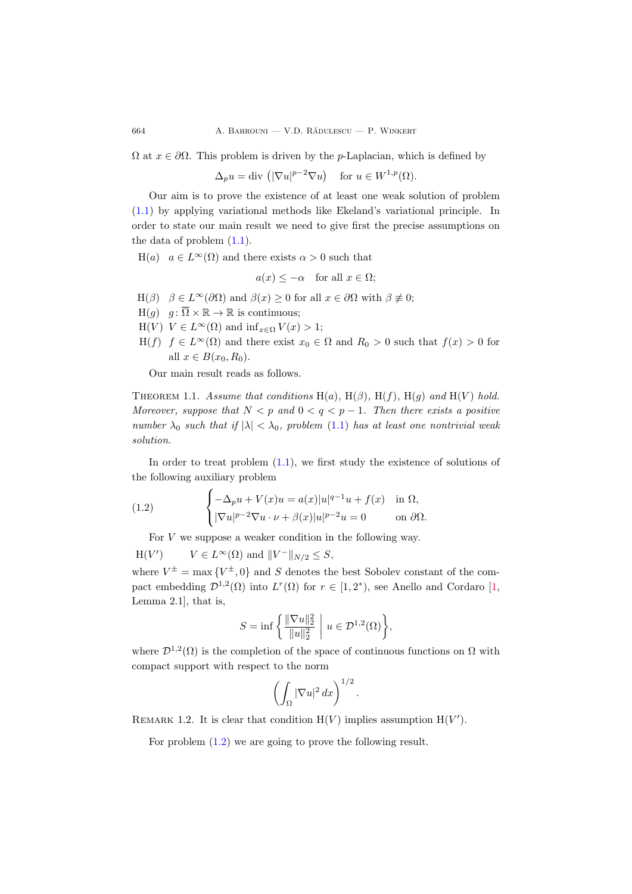$\Omega$  at  $x \in \partial\Omega$ . This problem is driven by the *p*-Laplacian, which is defined by

 $\Delta_p u = \text{div} \left( |\nabla u|^{p-2} \nabla u \right) \quad \text{for } u \in W^{1,p}(\Omega).$ 

Our aim is to prove the existence of at least one weak solution of problem [\(1.1\)](#page-0-0) by applying variational methods like Ekeland's variational principle. In order to state our main result we need to give first the precise assumptions on the data of problem [\(1.1\)](#page-0-0).

 $H(a)$   $a \in L^{\infty}(\Omega)$  and there exists  $\alpha > 0$  such that

$$
a(x) \leq -\alpha
$$
 for all  $x \in \Omega$ ;

- H( $\beta$ )  $\beta \in L^{\infty}(\partial \Omega)$  and  $\beta(x) > 0$  for all  $x \in \partial \Omega$  with  $\beta \not\equiv 0$ ;
- $H(q)$   $q: \overline{\Omega} \times \mathbb{R} \to \mathbb{R}$  is continuous;
- H(V)  $V \in L^{\infty}(\Omega)$  and  $\inf_{x \in \Omega} V(x) > 1$ ;
- H(f)  $f \in L^{\infty}(\Omega)$  and there exist  $x_0 \in \Omega$  and  $R_0 > 0$  such that  $f(x) > 0$  for all  $x \in B(x_0, R_0)$ .

Our main result reads as follows.

<span id="page-1-1"></span>THEOREM 1.1. Assume that conditions H(a), H( $\beta$ ), H(f), H(g) and H(V) hold. Moreover, suppose that  $N < p$  and  $0 < q < p - 1$ . Then there exists a positive number  $\lambda_0$  such that if  $|\lambda| < \lambda_0$ , problem [\(1.1\)](#page-0-0) has at least one nontrivial weak solution.

In order to treat problem  $(1.1)$ , we first study the existence of solutions of the following auxiliary problem

(1.2) 
$$
\begin{cases}\n-\Delta_p u + V(x)u = a(x)|u|^{q-1}u + f(x) & \text{in } \Omega, \\
|\nabla u|^{p-2}\nabla u \cdot \nu + \beta(x)|u|^{p-2}u = 0 & \text{on } \partial\Omega.\n\end{cases}
$$

<span id="page-1-0"></span>For  $V$  we suppose a weaker condition in the following way.

 $H(V'$ )  $V \in L^{\infty}(\Omega)$  and  $||V^-||_{N/2} \leq S$ ,

where  $V^{\pm} = \max \{ V^{\pm}, 0 \}$  and S denotes the best Sobolev constant of the compact embedding  $\mathcal{D}^{1,2}(\Omega)$  into  $L^r(\Omega)$  for  $r \in [1,2^*)$  $r \in [1,2^*)$  $r \in [1,2^*)$ , see Anello and Cordaro [1, Lemma 2.1], that is,

$$
S = \inf \left\{ \frac{\|\nabla u\|_2^2}{\|u\|_2^2} \; \bigg| \; u \in \mathcal{D}^{1,2}(\Omega) \right\},\
$$

where  $\mathcal{D}^{1,2}(\Omega)$  is the completion of the space of continuous functions on  $\Omega$  with compact support with respect to the norm

$$
\left(\int_{\Omega} |\nabla u|^2 \, dx\right)^{1/2}
$$

.

REMARK 1.2. It is clear that condition  $H(V)$  implies assumption  $H(V')$ .

For problem  $(1.2)$  we are going to prove the following result.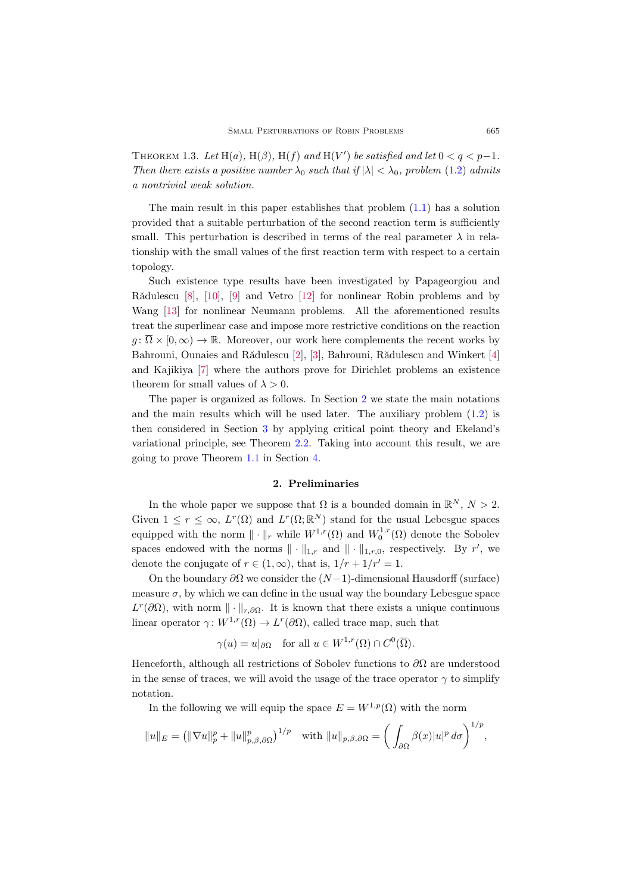<span id="page-2-1"></span>THEOREM 1.3. Let  $H(a)$ ,  $H(\beta)$ ,  $H(f)$  and  $H(V')$  be satisfied and let  $0 < q < p-1$ . Then there exists a positive number  $\lambda_0$  such that if  $|\lambda| < \lambda_0$ , problem [\(1.2\)](#page-1-0) admits a nontrivial weak solution.

The main result in this paper establishes that problem  $(1.1)$  has a solution provided that a suitable perturbation of the second reaction term is sufficiently small. This perturbation is described in terms of the real parameter  $\lambda$  in relationship with the small values of the first reaction term with respect to a certain topology.

Such existence type results have been investigated by Papageorgiou and Rădulescu  $[8]$ ,  $[10]$ ,  $[9]$  and Vetro  $[12]$  for nonlinear Robin problems and by Wang [\[13\]](#page-10-2) for nonlinear Neumann problems. All the aforementioned results treat the superlinear case and impose more restrictive conditions on the reaction  $g: \overline{\Omega} \times [0,\infty) \to \mathbb{R}$ . Moreover, our work here complements the recent works by Bahrouni, Ounaies and Rădulescu [\[2\]](#page-9-3), [\[3\]](#page-9-4), Bahrouni, Rădulescu and Winkert [\[4\]](#page-9-5) and Kajikiya [\[7\]](#page-9-6) where the authors prove for Dirichlet problems an existence theorem for small values of  $\lambda > 0$ .

The paper is organized as follows. In Section [2](#page-2-0) we state the main notations and the main results which will be used later. The auxiliary problem  $(1.2)$  is then considered in Section [3](#page-3-0) by applying critical point theory and Ekeland's variational principle, see Theorem [2.2.](#page-3-1) Taking into account this result, we are going to prove Theorem [1.1](#page-1-1) in Section [4.](#page-7-0)

# 2. Preliminaries

<span id="page-2-0"></span>In the whole paper we suppose that  $\Omega$  is a bounded domain in  $\mathbb{R}^N$ ,  $N > 2$ . Given  $1 \leq r \leq \infty$ ,  $L^r(\Omega)$  and  $L^r(\Omega;\mathbb{R}^N)$  stand for the usual Lebesgue spaces equipped with the norm  $\|\cdot\|_r$  while  $W^{1,r}(\Omega)$  and  $W_0^{1,r}(\Omega)$  denote the Sobolev spaces endowed with the norms  $\|\cdot\|_{1,r}$  and  $\|\cdot\|_{1,r,0}$ , respectively. By r', we denote the conjugate of  $r \in (1,\infty)$ , that is,  $1/r + 1/r' = 1$ .

On the boundary  $\partial\Omega$  we consider the  $(N-1)$ -dimensional Hausdorff (surface) measure  $\sigma$ , by which we can define in the usual way the boundary Lebesgue space  $L^r(\partial\Omega)$ , with norm  $\|\cdot\|_{r,\partial\Omega}$ . It is known that there exists a unique continuous linear operator  $\gamma: W^{1,r}(\Omega) \to L^r(\partial\Omega)$ , called trace map, such that

$$
\gamma(u) = u|_{\partial\Omega}
$$
 for all  $u \in W^{1,r}(\Omega) \cap C^0(\overline{\Omega})$ .

Henceforth, although all restrictions of Sobolev functions to  $\partial\Omega$  are understood in the sense of traces, we will avoid the usage of the trace operator  $\gamma$  to simplify notation.

In the following we will equip the space  $E = W^{1,p}(\Omega)$  with the norm

$$
||u||_E = (||\nabla u||_p^p + ||u||_{p,\beta,\partial\Omega}^p)^{1/p} \text{ with } ||u||_{p,\beta,\partial\Omega} = \left(\int_{\partial\Omega} \beta(x)|u|^p d\sigma\right)^{1/p},
$$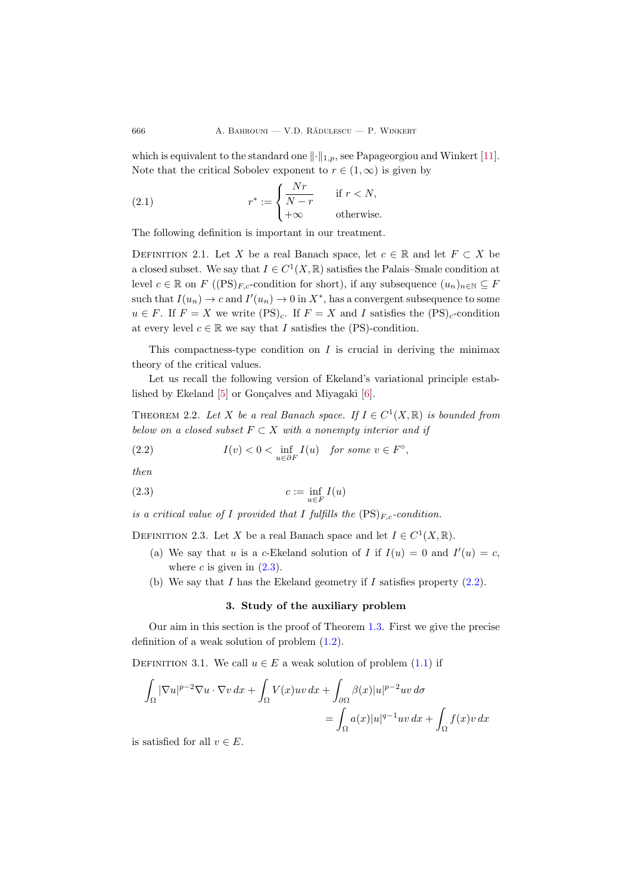which is equivalent to the standard one  $\lVert \cdot \rVert_{1,p}$ , see Papageorgiou and Winkert [\[11\]](#page-10-3). Note that the critical Sobolev exponent to  $r \in (1,\infty)$  is given by

<span id="page-3-4"></span>(2.1) 
$$
r^* := \begin{cases} \frac{Nr}{N-r} & \text{if } r < N, \\ +\infty & \text{otherwise.} \end{cases}
$$

The following definition is important in our treatment.

DEFINITION 2.1. Let X be a real Banach space, let  $c \in \mathbb{R}$  and let  $F \subset X$  be a closed subset. We say that  $I \in C^1(X, \mathbb{R})$  satisfies the Palais–Smale condition at level  $c \in \mathbb{R}$  on  $F((PS)_{F,c}$ -condition for short), if any subsequence  $(u_n)_{n \in \mathbb{N}} \subseteq F$ such that  $I(u_n) \to c$  and  $I'(u_n) \to 0$  in  $X^*$ , has a convergent subsequence to some  $u \in F$ . If  $F = X$  we write  $(PS)_c$ . If  $F = X$  and I satisfies the  $(PS)_c$ -condition at every level  $c \in \mathbb{R}$  we say that I satisfies the (PS)-condition.

This compactness-type condition on  $I$  is crucial in deriving the minimax theory of the critical values.

Let us recall the following version of Ekeland's variational principle established by Ekeland  $[5]$  or Gonçalves and Miyagaki  $[6]$ .

<span id="page-3-1"></span>THEOREM 2.2. Let X be a real Banach space. If  $I \in C^1(X, \mathbb{R})$  is bounded from below on a closed subset  $F \subset X$  with a nonempty interior and if

<span id="page-3-3"></span>(2.2) 
$$
I(v) < 0 < \inf_{u \in \partial F} I(u) \quad \text{for some } v \in F^{\circ},
$$

then

<span id="page-3-2"></span>
$$
(2.3) \t\t c := \inf_{u \in F} I(u)
$$

is a critical value of I provided that I fulfills the  $(PS)_{F,c}$ -condition.

DEFINITION 2.3. Let X be a real Banach space and let  $I \in C^1(X, \mathbb{R})$ .

- (a) We say that u is a c-Ekeland solution of I if  $I(u) = 0$  and  $I'(u) = c$ , where c is given in  $(2.3)$ .
- <span id="page-3-0"></span>(b) We say that I has the Ekeland geometry if I satisfies property  $(2.2)$ .

### 3. Study of the auxiliary problem

Our aim in this section is the proof of Theorem [1.3.](#page-2-1) First we give the precise definition of a weak solution of problem [\(1.2\)](#page-1-0).

DEFINITION 3.1. We call  $u \in E$  a weak solution of problem  $(1.1)$  if

$$
\int_{\Omega} |\nabla u|^{p-2} \nabla u \cdot \nabla v \, dx + \int_{\Omega} V(x)uv \, dx + \int_{\partial \Omega} \beta(x)|u|^{p-2}uv \, d\sigma
$$

$$
= \int_{\Omega} a(x)|u|^{q-1}uv \, dx + \int_{\Omega} f(x)v \, dx
$$

is satisfied for all  $v \in E$ .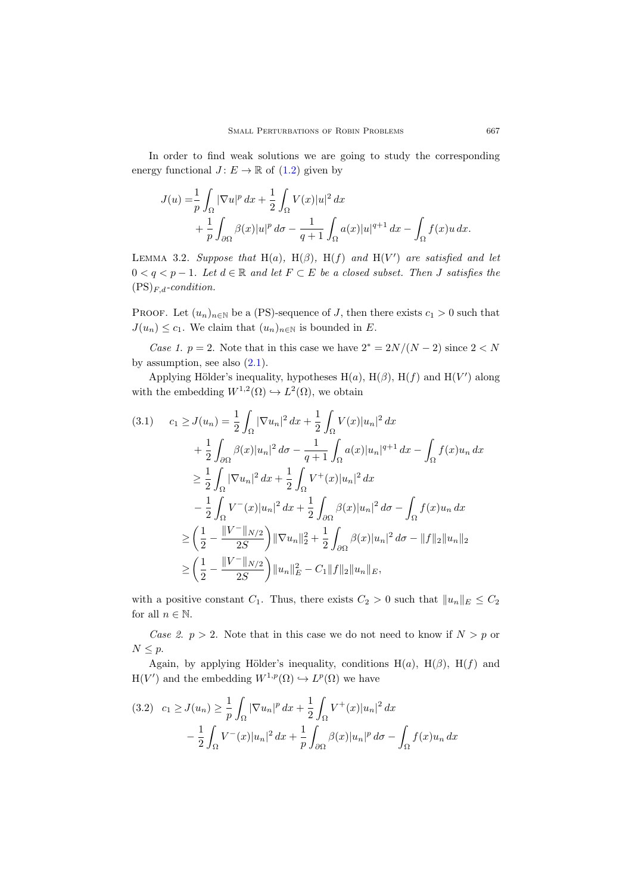In order to find weak solutions we are going to study the corresponding energy functional  $J: E \to \mathbb{R}$  of  $(1.2)$  given by

$$
J(u) = \frac{1}{p} \int_{\Omega} |\nabla u|^p dx + \frac{1}{2} \int_{\Omega} V(x)|u|^2 dx
$$
  
+ 
$$
\frac{1}{p} \int_{\partial \Omega} \beta(x)|u|^p d\sigma - \frac{1}{q+1} \int_{\Omega} a(x)|u|^{q+1} dx - \int_{\Omega} f(x)u dx.
$$

<span id="page-4-2"></span>LEMMA 3.2. Suppose that H(a), H( $\beta$ ), H(f) and H(V') are satisfied and let  $0 < q < p-1$ . Let  $d \in \mathbb{R}$  and let  $F \subset E$  be a closed subset. Then J satisfies the  $(PS)_{F,d}\text{-}condition.$ 

PROOF. Let  $(u_n)_{n\in\mathbb{N}}$  be a (PS)-sequence of J, then there exists  $c_1 > 0$  such that  $J(u_n) \leq c_1$ . We claim that  $(u_n)_{n \in \mathbb{N}}$  is bounded in E.

Case 1. p = 2. Note that in this case we have  $2^* = 2N/(N-2)$  since  $2 < N$ by assumption, see also  $(2.1)$ .

Applying Hölder's inequality, hypotheses  $H(a)$ ,  $H(\beta)$ ,  $H(f)$  and  $H(V')$  along with the embedding  $W^{1,2}(\Omega) \hookrightarrow L^2(\Omega)$ , we obtain

<span id="page-4-0"></span>
$$
(3.1) \t c_1 \geq J(u_n) = \frac{1}{2} \int_{\Omega} |\nabla u_n|^2 dx + \frac{1}{2} \int_{\Omega} V(x) |u_n|^2 dx
$$
  
+ 
$$
\frac{1}{2} \int_{\partial \Omega} \beta(x) |u_n|^2 d\sigma - \frac{1}{q+1} \int_{\Omega} a(x) |u_n|^{q+1} dx - \int_{\Omega} f(x) u_n dx
$$
  

$$
\geq \frac{1}{2} \int_{\Omega} |\nabla u_n|^2 dx + \frac{1}{2} \int_{\Omega} V^+(x) |u_n|^2 dx
$$
  

$$
- \frac{1}{2} \int_{\Omega} V^-(x) |u_n|^2 dx + \frac{1}{2} \int_{\partial \Omega} \beta(x) |u_n|^2 d\sigma - \int_{\Omega} f(x) u_n dx
$$
  

$$
\geq \left( \frac{1}{2} - \frac{\|V^-\|_{N/2}}{2S} \right) \|\nabla u_n\|_2^2 + \frac{1}{2} \int_{\partial \Omega} \beta(x) |u_n|^2 d\sigma - \|f\|_2 \|u_n\|_2
$$
  

$$
\geq \left( \frac{1}{2} - \frac{\|V^-\|_{N/2}}{2S} \right) \|u_n\|_E^2 - C_1 \|f\|_2 \|u_n\|_E,
$$

with a positive constant  $C_1$ . Thus, there exists  $C_2 > 0$  such that  $||u_n||_E \leq C_2$ for all  $n \in \mathbb{N}$ .

Case 2.  $p > 2$ . Note that in this case we do not need to know if  $N > p$  or  $N \leq p$ .

Again, by applying Hölder's inequality, conditions  $H(a)$ ,  $H(\beta)$ ,  $H(f)$  and  $H(V')$  and the embedding  $W^{1,p}(\Omega) \hookrightarrow L^p(\Omega)$  we have

<span id="page-4-1"></span>
$$
(3.2) \quad c_1 \ge J(u_n) \ge \frac{1}{p} \int_{\Omega} |\nabla u_n|^p \, dx + \frac{1}{2} \int_{\Omega} V^+(x) |u_n|^2 \, dx - \frac{1}{2} \int_{\Omega} V^-(x) |u_n|^2 \, dx + \frac{1}{p} \int_{\partial \Omega} \beta(x) |u_n|^p \, d\sigma - \int_{\Omega} f(x) u_n \, dx
$$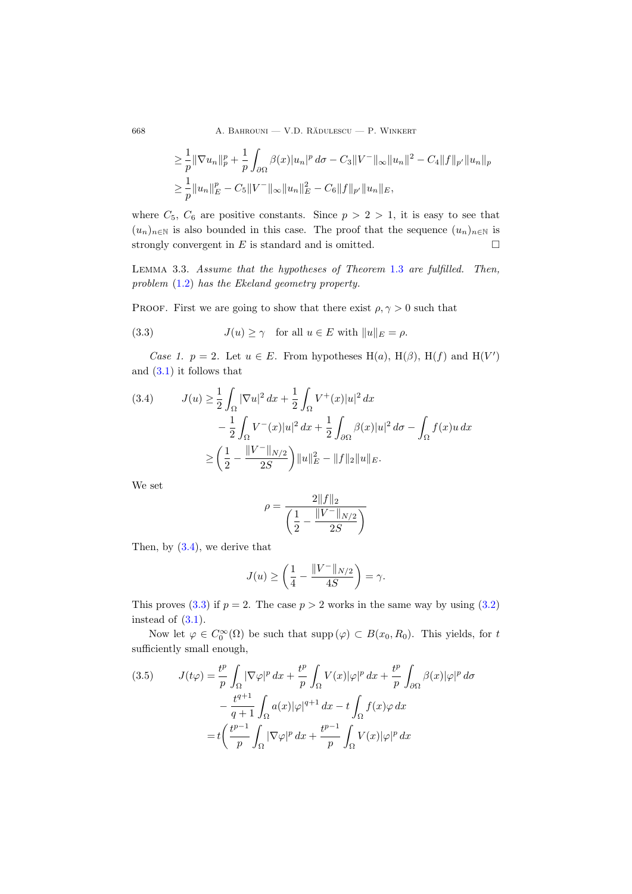668 A. BAHROUNI — V.D. RĂDULESCU — P. WINKERT

$$
\geq \frac{1}{p} \|\nabla u_n\|_p^p + \frac{1}{p} \int_{\partial\Omega} \beta(x) |u_n|^p \, d\sigma - C_3 \|V^-\|_{\infty} \|u_n\|^2 - C_4 \|f\|_{p'} \|u_n\|_p
$$
  

$$
\geq \frac{1}{p} \|u_n\|_E^p - C_5 \|V^-\|_{\infty} \|u_n\|_E^2 - C_6 \|f\|_{p'} \|u_n\|_E,
$$

where  $C_5$ ,  $C_6$  are positive constants. Since  $p > 2 > 1$ , it is easy to see that  $(u_n)_{n\in\mathbb{N}}$  is also bounded in this case. The proof that the sequence  $(u_n)_{n\in\mathbb{N}}$  is strongly convergent in  $E$  is standard and is omitted.  $\square$ 

<span id="page-5-3"></span>Lemma 3.3. Assume that the hypotheses of Theorem [1.3](#page-2-1) are fulfilled. Then, problem [\(1.2\)](#page-1-0) has the Ekeland geometry property.

PROOF. First we are going to show that there exist  $\rho, \gamma > 0$  such that

<span id="page-5-1"></span>(3.3) 
$$
J(u) \ge \gamma \quad \text{for all } u \in E \text{ with } ||u||_E = \rho.
$$

Case 1.  $p = 2$ . Let  $u \in E$ . From hypotheses H(a), H( $\beta$ ), H(f) and H(V') and [\(3.1\)](#page-4-0) it follows that

<span id="page-5-0"></span>(3.4) 
$$
J(u) \ge \frac{1}{2} \int_{\Omega} |\nabla u|^2 dx + \frac{1}{2} \int_{\Omega} V^+(x) |u|^2 dx
$$

$$
- \frac{1}{2} \int_{\Omega} V^-(x) |u|^2 dx + \frac{1}{2} \int_{\partial \Omega} \beta(x) |u|^2 d\sigma - \int_{\Omega} f(x) u dx
$$

$$
\ge \left(\frac{1}{2} - \frac{\|V^-\|_{N/2}}{2S}\right) \|u\|_E^2 - \|f\|_2 \|u\|_E.
$$

We set

$$
\rho = \frac{2||f||_2}{\left(\frac{1}{2} - \frac{||V^-||_{N/2}}{2S}\right)}
$$

Then, by [\(3.4\)](#page-5-0), we derive that

$$
J(u) \ge \left(\frac{1}{4} - \frac{\|V^-\|_{N/2}}{4S}\right) = \gamma.
$$

This proves [\(3.3\)](#page-5-1) if  $p = 2$ . The case  $p > 2$  works in the same way by using [\(3.2\)](#page-4-1) instead of  $(3.1)$ .

Now let  $\varphi \in C_0^{\infty}(\Omega)$  be such that supp  $(\varphi) \subset B(x_0, R_0)$ . This yields, for t sufficiently small enough,

<span id="page-5-2"></span>(3.5) 
$$
J(t\varphi) = \frac{t^p}{p} \int_{\Omega} |\nabla \varphi|^p dx + \frac{t^p}{p} \int_{\Omega} V(x) |\varphi|^p dx + \frac{t^p}{p} \int_{\partial \Omega} \beta(x) |\varphi|^p d\sigma
$$

$$
- \frac{t^{q+1}}{q+1} \int_{\Omega} a(x) |\varphi|^{q+1} dx - t \int_{\Omega} f(x) \varphi dx
$$

$$
= t \left( \frac{t^{p-1}}{p} \int_{\Omega} |\nabla \varphi|^p dx + \frac{t^{p-1}}{p} \int_{\Omega} V(x) |\varphi|^p dx \right)
$$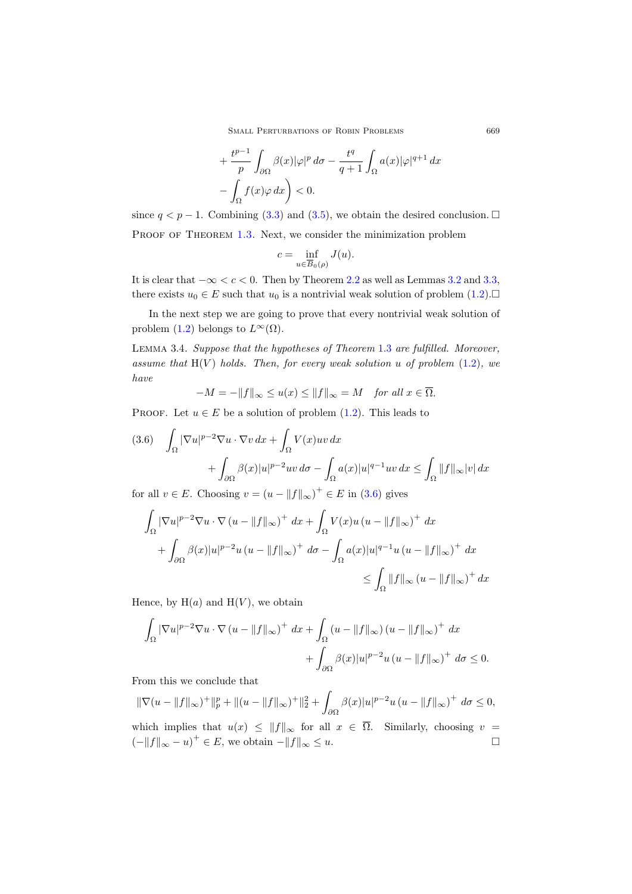SMALL PERTURBATIONS OF ROBIN PROBLEMS 669

$$
+\frac{t^{p-1}}{p}\int_{\partial\Omega}\beta(x)|\varphi|^p d\sigma - \frac{t^q}{q+1}\int_{\Omega}a(x)|\varphi|^{q+1} dx
$$
  

$$
-\int_{\Omega}f(x)\varphi dx\bigg) < 0.
$$

since  $q < p - 1$ . Combining [\(3.3\)](#page-5-1) and [\(3.5\)](#page-5-2), we obtain the desired conclusion.  $\Box$ PROOF OF THEOREM [1.3.](#page-2-1) Next, we consider the minimization problem

$$
c = \inf_{u \in \overline{B}_0(\rho)} J(u).
$$

It is clear that  $-\infty < c < 0$ . Then by Theorem [2.2](#page-3-1) as well as Lemmas [3.2](#page-4-2) and [3.3,](#page-5-3) there exists  $u_0 \in E$  such that  $u_0$  is a nontrivial weak solution of problem  $(1.2)$ .

In the next step we are going to prove that every nontrivial weak solution of problem [\(1.2\)](#page-1-0) belongs to  $L^{\infty}(\Omega)$ .

<span id="page-6-1"></span>Lemma 3.4. Suppose that the hypotheses of Theorem [1.3](#page-2-1) are fulfilled. Moreover, assume that  $H(V)$  holds. Then, for every weak solution u of problem  $(1.2)$ , we have

 $-M = -\|f\|_{\infty} \le u(x) \le \|f\|_{\infty} = M$  for all  $x \in \overline{\Omega}$ .

PROOF. Let  $u \in E$  be a solution of problem [\(1.2\)](#page-1-0). This leads to

<span id="page-6-0"></span>
$$
(3.6) \quad \int_{\Omega} |\nabla u|^{p-2} \nabla u \cdot \nabla v \, dx + \int_{\Omega} V(x)uv \, dx
$$

$$
+ \int_{\partial \Omega} \beta(x)|u|^{p-2}uv \, d\sigma - \int_{\Omega} a(x)|u|^{q-1}uv \, dx \le \int_{\Omega} ||f||_{\infty}|v| \, dx
$$

for all  $v \in E$ . Choosing  $v = (u - ||f||_{\infty})^+ \in E$  in [\(3.6\)](#page-6-0) gives

$$
\int_{\Omega} |\nabla u|^{p-2} \nabla u \cdot \nabla (u - \|f\|_{\infty})^{+} dx + \int_{\Omega} V(x) u (u - \|f\|_{\infty})^{+} dx
$$
  
+ 
$$
\int_{\partial \Omega} \beta(x) |u|^{p-2} u (u - \|f\|_{\infty})^{+} d\sigma - \int_{\Omega} a(x) |u|^{q-1} u (u - \|f\|_{\infty})^{+} dx
$$
  

$$
\leq \int_{\Omega} \|f\|_{\infty} (u - \|f\|_{\infty})^{+} dx
$$

Hence, by  $H(a)$  and  $H(V)$ , we obtain

$$
\int_{\Omega} |\nabla u|^{p-2} \nabla u \cdot \nabla (u - \|f\|_{\infty})^{+} dx + \int_{\Omega} (u - \|f\|_{\infty}) (u - \|f\|_{\infty})^{+} dx
$$

$$
+ \int_{\partial \Omega} \beta(x)|u|^{p-2} u (u - \|f\|_{\infty})^{+} d\sigma \le 0.
$$

From this we conclude that

$$
\|\nabla(u - \|f\|_{\infty})^{+}\|_{p}^{p} + \|(u - \|f\|_{\infty})^{+}\|_{2}^{2} + \int_{\partial\Omega} \beta(x)|u|^{p-2}u(u - \|f\|_{\infty})^{+} d\sigma \le 0,
$$

which implies that  $u(x) \leq ||f||_{\infty}$  for all  $x \in \overline{\Omega}$ . Similarly, choosing  $v =$  $(-\|f\|_{\infty} - u)^{+} \in E$ , we obtain  $-\|f\|_{\infty} \leq u$ .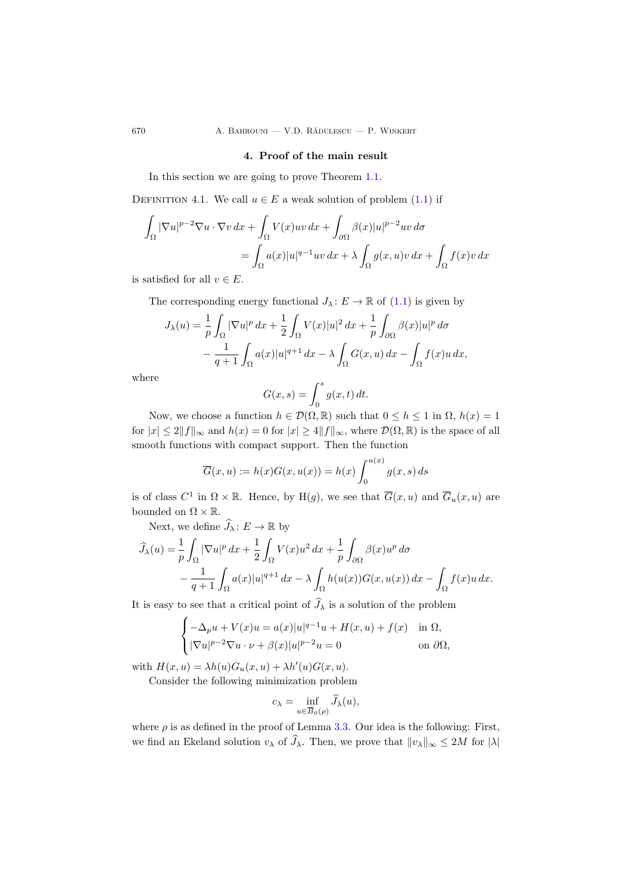## 4. Proof of the main result

In this section we are going to prove Theorem [1.1.](#page-1-1)

DEFINITION 4.1. We call  $u \in E$  a weak solution of problem  $(1.1)$  if

$$
\int_{\Omega} |\nabla u|^{p-2} \nabla u \cdot \nabla v \, dx + \int_{\Omega} V(x)uv \, dx + \int_{\partial \Omega} \beta(x)|u|^{p-2}uv \, d\sigma
$$

$$
= \int_{\Omega} a(x)|u|^{q-1}uv \, dx + \lambda \int_{\Omega} g(x,u)v \, dx + \int_{\Omega} f(x)v \, dx
$$

is satisfied for all  $v \in E$ .

The corresponding energy functional  $J_{\lambda}: E \to \mathbb{R}$  of  $(1.1)$  is given by

$$
J_{\lambda}(u) = \frac{1}{p} \int_{\Omega} |\nabla u|^p dx + \frac{1}{2} \int_{\Omega} V(x)|u|^2 dx + \frac{1}{p} \int_{\partial \Omega} \beta(x)|u|^p d\sigma
$$

$$
- \frac{1}{q+1} \int_{\Omega} a(x)|u|^{q+1} dx - \lambda \int_{\Omega} G(x, u) dx - \int_{\Omega} f(x)u dx,
$$

where

$$
G(x,s) = \int_0^s g(x,t) dt.
$$

Now, we choose a function  $h \in \mathcal{D}(\Omega, \mathbb{R})$  such that  $0 \leq h \leq 1$  in  $\Omega$ ,  $h(x) = 1$ for  $|x| \le 2||f||_{\infty}$  and  $h(x) = 0$  for  $|x| \ge 4||f||_{\infty}$ , where  $\mathcal{D}(\Omega, \mathbb{R})$  is the space of all smooth functions with compact support. Then the function

$$
\overline{G}(x, u) := h(x)G(x, u(x)) = h(x) \int_0^{u(x)} g(x, s) ds
$$

is of class  $C^1$  in  $\Omega \times \mathbb{R}$ . Hence, by  $H(g)$ , we see that  $\overline{G}(x, u)$  and  $\overline{G}_u(x, u)$  are bounded on  $\Omega\times\mathbb{R}.$ 

Next, we define  $\widehat{J}_{\lambda} \colon E \to \mathbb{R}$  by

$$
\widehat{J}_{\lambda}(u) = \frac{1}{p} \int_{\Omega} |\nabla u|^p dx + \frac{1}{2} \int_{\Omega} V(x) u^2 dx + \frac{1}{p} \int_{\partial \Omega} \beta(x) u^p d\sigma
$$

$$
- \frac{1}{q+1} \int_{\Omega} a(x) |u|^{q+1} dx - \lambda \int_{\Omega} h(u(x)) G(x, u(x)) dx - \int_{\Omega} f(x) u dx.
$$

It is easy to see that a critical point of  $\tilde{J}_{\lambda}$  is a solution of the problem

$$
\begin{cases}\n-\Delta_p u + V(x)u = a(x)|u|^{q-1}u + H(x, u) + f(x) & \text{in } \Omega, \\
|\nabla u|^{p-2}\nabla u \cdot \nu + \beta(x)|u|^{p-2}u = 0 & \text{on } \partial\Omega,\n\end{cases}
$$

with  $H(x, u) = \lambda h(u) G_u(x, u) + \lambda h'(u) G(x, u).$ 

Consider the following minimization problem

$$
c_{\lambda} = \inf_{u \in \overline{B}_0(\rho)} J_{\lambda}(u),
$$

where  $\rho$  is as defined in the proof of Lemma [3.3.](#page-5-3) Our idea is the following: First, we find an Ekeland solution  $v_\lambda$  of  $\widehat{J}_\lambda$ . Then, we prove that  $||v_\lambda||_\infty \le 2M$  for  $|\lambda|$ 

<span id="page-7-0"></span>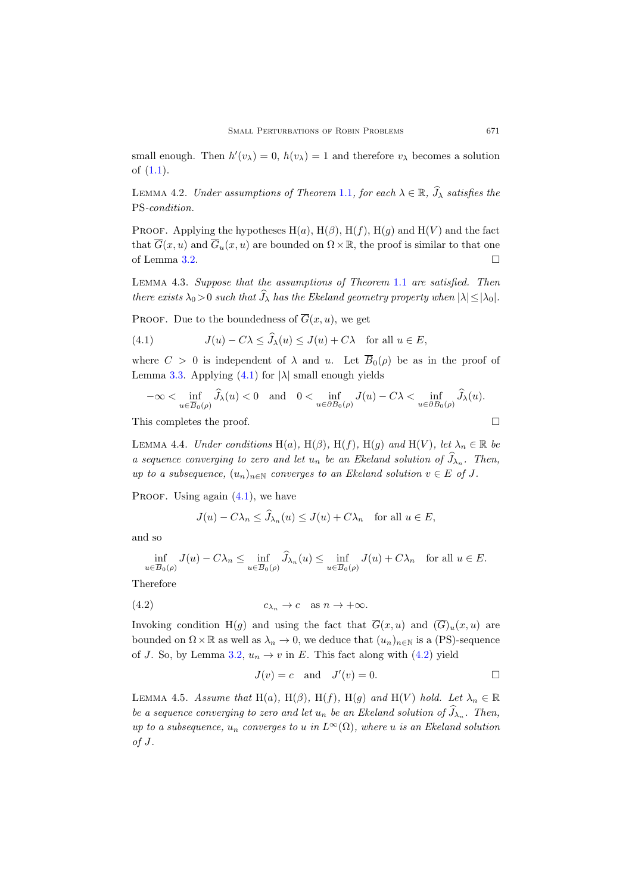small enough. Then  $h'(v_\lambda) = 0$ ,  $h(v_\lambda) = 1$  and therefore  $v_\lambda$  becomes a solution of [\(1.1\)](#page-0-0).

<span id="page-8-5"></span>LEMMA 4.2. Under assumptions of Theorem [1.1](#page-1-1), for each  $\lambda \in \mathbb{R}$ ,  $\widehat{J}_{\lambda}$  satisfies the PS-condition.

PROOF. Applying the hypotheses  $H(a)$ ,  $H(\beta)$ ,  $H(f)$ ,  $H(g)$  and  $H(V)$  and the fact that  $\overline{G}(x, u)$  and  $\overline{G}_u(x, u)$  are bounded on  $\Omega \times \mathbb{R}$ , the proof is similar to that one of Lemma [3.2.](#page-4-2)

<span id="page-8-4"></span>Lemma 4.3. Suppose that the assumptions of Theorem [1.1](#page-0-0) are satisfied. Then there exists  $\lambda_0 > 0$  such that  $\widehat{J}_\lambda$  has the Ekeland geometry property when  $|\lambda| < |\lambda_0|$ .

PROOF. Due to the boundedness of  $\overline{G}(x, u)$ , we get

<span id="page-8-0"></span>(4.1) 
$$
J(u) - C\lambda \le \widehat{J}_{\lambda}(u) \le J(u) + C\lambda \quad \text{for all } u \in E,
$$

where  $C > 0$  is independent of  $\lambda$  and u. Let  $\overline{B}_0(\rho)$  be as in the proof of Lemma [3.3.](#page-5-3) Applying  $(4.1)$  for  $|\lambda|$  small enough yields

$$
-\infty < \inf_{u \in \overline{B}_0(\rho)} \widehat{J}_\lambda(u) < 0 \quad \text{and} \quad 0 < \inf_{u \in \partial B_0(\rho)} J(u) - C\lambda < \inf_{u \in \partial B_0(\rho)} \widehat{J}_\lambda(u).
$$

This completes the proof.

<span id="page-8-2"></span>LEMMA 4.4. Under conditions H(a), H( $\beta$ ), H(f), H(g) and H(V), let  $\lambda_n \in \mathbb{R}$  be a sequence converging to zero and let  $u_n$  be an Ekeland solution of  $J_{\lambda_n}$ . Then, up to a subsequence,  $(u_n)_{n\in\mathbb{N}}$  converges to an Ekeland solution  $v \in E$  of J.

PROOF. Using again  $(4.1)$ , we have

$$
J(u) - C\lambda_n \le \tilde{J}_{\lambda_n}(u) \le J(u) + C\lambda_n \quad \text{for all } u \in E,
$$

and so

$$
\inf_{u \in \overline{B}_0(\rho)} J(u) - C\lambda_n \le \inf_{u \in \overline{B}_0(\rho)} \widetilde{J}_{\lambda_n}(u) \le \inf_{u \in \overline{B}_0(\rho)} J(u) + C\lambda_n \quad \text{for all } u \in E.
$$

Therefore

$$
(4.2) \t\t\t c_{\lambda_n} \to c \quad \text{as } n \to +\infty.
$$

Invoking condition H(g) and using the fact that  $\overline{G}(x, u)$  and  $(\overline{G})_u(x, u)$  are bounded on  $\Omega \times \mathbb{R}$  as well as  $\lambda_n \to 0$ , we deduce that  $(u_n)_{n \in \mathbb{N}}$  is a (PS)-sequence of J. So, by Lemma [3.2,](#page-4-2)  $u_n \to v$  in E. This fact along with [\(4.2\)](#page-8-1) yield

<span id="page-8-1"></span>
$$
J(v) = c \quad \text{and} \quad J'(v) = 0.
$$

<span id="page-8-3"></span>LEMMA 4.5. Assume that H(a), H( $\beta$ ), H(f), H(g) and H(V) hold. Let  $\lambda_n \in \mathbb{R}$ be a sequence converging to zero and let  $u_n$  be an Ekeland solution of  $J_{\lambda_n}$ . Then, up to a subsequence,  $u_n$  converges to u in  $L^{\infty}(\Omega)$ , where u is an Ekeland solution of J.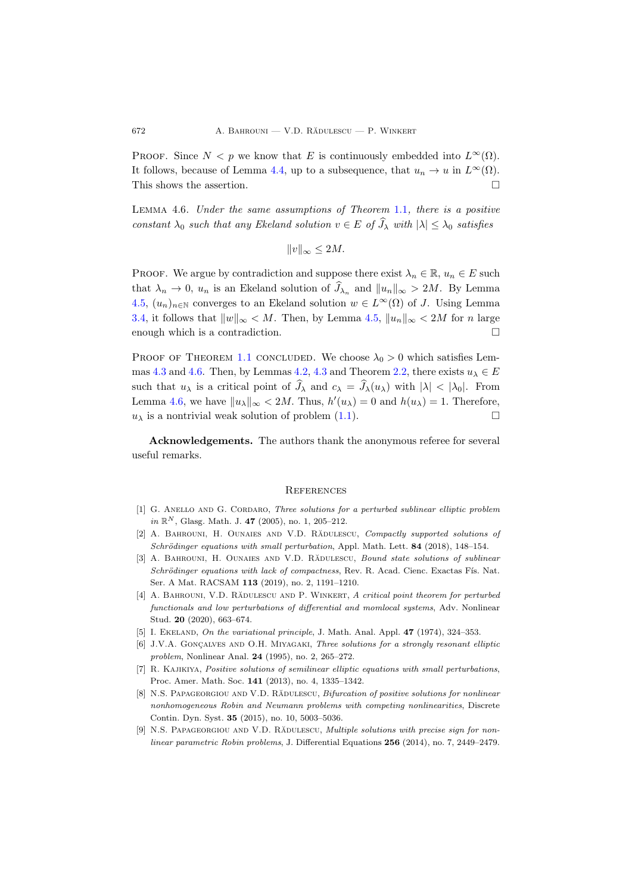PROOF. Since  $N < p$  we know that E is continuously embedded into  $L^{\infty}(\Omega)$ . It follows, because of Lemma [4.4,](#page-8-2) up to a subsequence, that  $u_n \to u$  in  $L^{\infty}(\Omega)$ . This shows the assertion.  $\Box$ 

<span id="page-9-9"></span>Lemma 4.6. Under the same assumptions of Theorem [1.1](#page-0-0), there is a positive constant  $\lambda_0$  such that any Ekeland solution  $v \in E$  of  $\widehat{J}_\lambda$  with  $|\lambda| \leq \lambda_0$  satisfies

$$
||v||_{\infty} \le 2M.
$$

**PROOF.** We argue by contradiction and suppose there exist  $\lambda_n \in \mathbb{R}$ ,  $u_n \in E$  such that  $\lambda_n \to 0$ ,  $u_n$  is an Ekeland solution of  $J_{\lambda_n}$  and  $||u_n||_{\infty} > 2M$ . By Lemma [4.5,](#page-8-3)  $(u_n)_{n\in\mathbb{N}}$  converges to an Ekeland solution  $w \in L^{\infty}(\Omega)$  of J. Using Lemma [3.4,](#page-6-1) it follows that  $||w||_{\infty} < M$ . Then, by Lemma [4.5,](#page-8-3)  $||u_n||_{\infty} < 2M$  for n large enough which is a contradiction.

PROOF OF THEOREM [1.1](#page-0-0) CONCLUDED. We choose  $\lambda_0 > 0$  which satisfies Lem-mas [4.3](#page-8-4) and [4.6.](#page-9-9) Then, by Lemmas [4.2,](#page-8-5) 4.3 and Theorem [2.2,](#page-3-1) there exists  $u_{\lambda} \in E$ such that  $u_{\lambda}$  is a critical point of  $\widehat{J}_{\lambda}$  and  $c_{\lambda} = \widehat{J}_{\lambda}(u_{\lambda})$  with  $|\lambda| < |\lambda_0|$ . From Lemma [4.6,](#page-9-9) we have  $||u_\lambda||_\infty < 2M$ . Thus,  $h'(u_\lambda) = 0$  and  $h(u_\lambda) = 1$ . Therefore,  $u_{\lambda}$  is a nontrivial weak solution of problem [\(1.1\)](#page-0-0).

Acknowledgements. The authors thank the anonymous referee for several useful remarks.

#### **REFERENCES**

- <span id="page-9-0"></span>[1] G. ANELLO AND G. CORDARO, Three solutions for a perturbed sublinear elliptic problem in  $\mathbb{R}^N$ , Glasg. Math. J. 47 (2005), no. 1, 205–212.
- <span id="page-9-3"></span>[2] A. BAHROUNI, H. OUNAIES AND V.D. RADULESCU, Compactly supported solutions of Schrödinger equations with small perturbation, Appl. Math. Lett. 84 (2018), 148-154.
- <span id="page-9-4"></span>[3] A. BAHROUNI, H. OUNAIES AND V.D. RADULESCU, Bound state solutions of sublinear Schrödinger equations with lack of compactness, Rev. R. Acad. Cienc. Exactas Fís. Nat. Ser. A Mat. RACSAM 113 (2019), no. 2, 1191–1210.
- <span id="page-9-5"></span>[4] A. BAHROUNI, V.D. RADULESCU AND P. WINKERT, A critical point theorem for perturbed functionals and low perturbations of differential and momlocal systems, Adv. Nonlinear Stud. 20 (2020), 663–674.
- <span id="page-9-7"></span>[5] I. EKELAND, On the variational principle, J. Math. Anal. Appl.  $47$  (1974), 324-353.
- <span id="page-9-8"></span>[6] J.V.A. GONÇALVES AND O.H. MIYAGAKI, Three solutions for a strongly resonant elliptic problem, Nonlinear Anal. 24 (1995), no. 2, 265–272.
- <span id="page-9-6"></span>[7] R. KAJIKIYA, Positive solutions of semilinear elliptic equations with small perturbations, Proc. Amer. Math. Soc. 141 (2013), no. 4, 1335–1342.
- <span id="page-9-1"></span>[8] N.S. PAPAGEORGIOU AND V.D. RĂDULESCU, Bifurcation of positive solutions for nonlinear nonhomogeneous Robin and Neumann problems with competing nonlinearities, Discrete Contin. Dyn. Syst. 35 (2015), no. 10, 5003–5036.
- <span id="page-9-2"></span>[9] N.S. PAPAGEORGIOU AND V.D. RĂDULESCU, Multiple solutions with precise sign for nonlinear parametric Robin problems, J. Differential Equations 256 (2014), no. 7, 2449–2479.